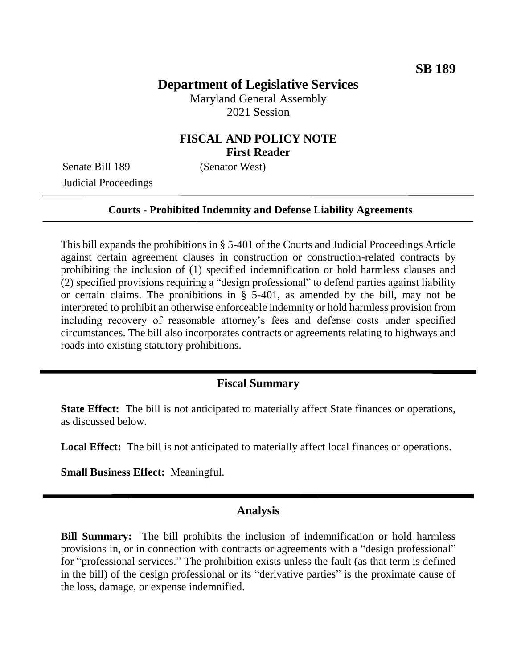## **Department of Legislative Services**

Maryland General Assembly 2021 Session

## **FISCAL AND POLICY NOTE First Reader**

Senate Bill 189 (Senator West) Judicial Proceedings

#### **Courts - Prohibited Indemnity and Defense Liability Agreements**

This bill expands the prohibitions in § 5-401 of the Courts and Judicial Proceedings Article against certain agreement clauses in construction or construction-related contracts by prohibiting the inclusion of (1) specified indemnification or hold harmless clauses and (2) specified provisions requiring a "design professional" to defend parties against liability or certain claims. The prohibitions in § 5-401, as amended by the bill, may not be interpreted to prohibit an otherwise enforceable indemnity or hold harmless provision from including recovery of reasonable attorney's fees and defense costs under specified circumstances. The bill also incorporates contracts or agreements relating to highways and roads into existing statutory prohibitions.

### **Fiscal Summary**

**State Effect:** The bill is not anticipated to materially affect State finances or operations, as discussed below.

**Local Effect:** The bill is not anticipated to materially affect local finances or operations.

**Small Business Effect:** Meaningful.

### **Analysis**

**Bill Summary:** The bill prohibits the inclusion of indemnification or hold harmless provisions in, or in connection with contracts or agreements with a "design professional" for "professional services." The prohibition exists unless the fault (as that term is defined in the bill) of the design professional or its "derivative parties" is the proximate cause of the loss, damage, or expense indemnified.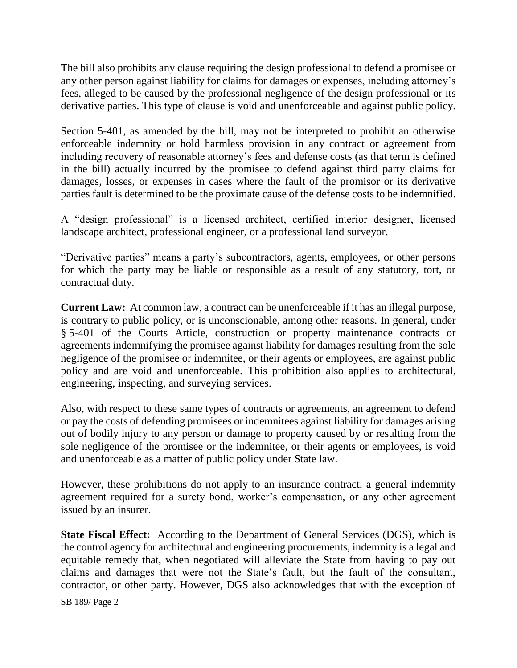The bill also prohibits any clause requiring the design professional to defend a promisee or any other person against liability for claims for damages or expenses, including attorney's fees, alleged to be caused by the professional negligence of the design professional or its derivative parties. This type of clause is void and unenforceable and against public policy.

Section 5-401, as amended by the bill, may not be interpreted to prohibit an otherwise enforceable indemnity or hold harmless provision in any contract or agreement from including recovery of reasonable attorney's fees and defense costs (as that term is defined in the bill) actually incurred by the promisee to defend against third party claims for damages, losses, or expenses in cases where the fault of the promisor or its derivative parties fault is determined to be the proximate cause of the defense costs to be indemnified.

A "design professional" is a licensed architect, certified interior designer, licensed landscape architect, professional engineer, or a professional land surveyor.

"Derivative parties" means a party's subcontractors, agents, employees, or other persons for which the party may be liable or responsible as a result of any statutory, tort, or contractual duty.

**Current Law:** At common law, a contract can be unenforceable if it has an illegal purpose, is contrary to public policy, or is unconscionable, among other reasons. In general, under § 5-401 of the Courts Article, construction or property maintenance contracts or agreements indemnifying the promisee against liability for damages resulting from the sole negligence of the promisee or indemnitee, or their agents or employees, are against public policy and are void and unenforceable. This prohibition also applies to architectural, engineering, inspecting, and surveying services.

Also, with respect to these same types of contracts or agreements, an agreement to defend or pay the costs of defending promisees or indemnitees against liability for damages arising out of bodily injury to any person or damage to property caused by or resulting from the sole negligence of the promisee or the indemnitee, or their agents or employees, is void and unenforceable as a matter of public policy under State law.

However, these prohibitions do not apply to an insurance contract, a general indemnity agreement required for a surety bond, worker's compensation, or any other agreement issued by an insurer.

**State Fiscal Effect:** According to the Department of General Services (DGS), which is the control agency for architectural and engineering procurements, indemnity is a legal and equitable remedy that, when negotiated will alleviate the State from having to pay out claims and damages that were not the State's fault, but the fault of the consultant, contractor, or other party. However, DGS also acknowledges that with the exception of

SB 189/ Page 2